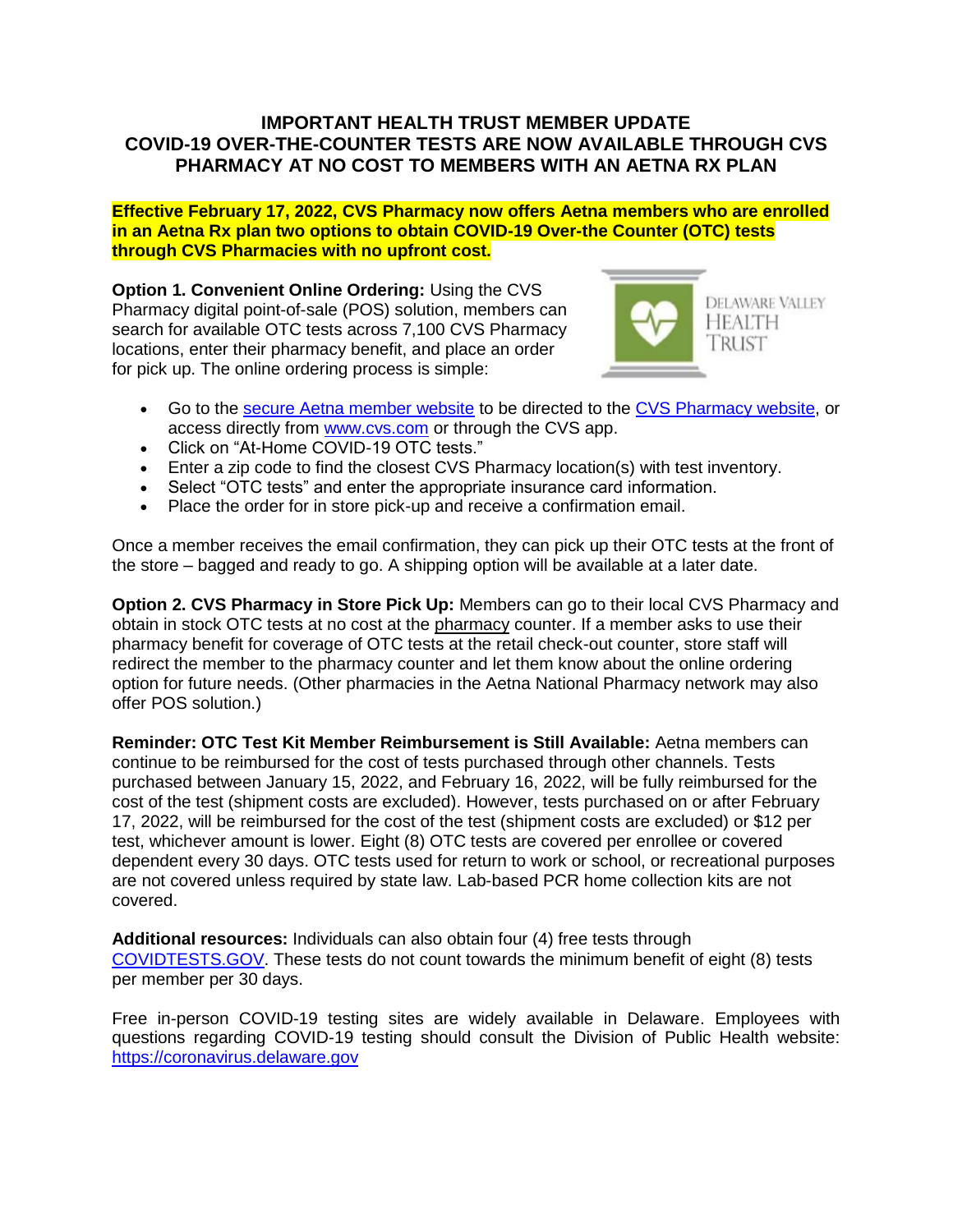## **IMPORTANT HEALTH TRUST MEMBER UPDATE COVID-19 OVER-THE-COUNTER TESTS ARE NOW AVAILABLE THROUGH CVS PHARMACY AT NO COST TO MEMBERS WITH AN AETNA RX PLAN**

**Effective February 17, 2022, CVS Pharmacy now offers Aetna members who are enrolled in an Aetna Rx plan two options to obtain COVID-19 Over-the Counter (OTC) tests through CVS Pharmacies with no upfront cost.**

**Option 1. Convenient Online Ordering:** Using the CVS Pharmacy digital point-of-sale (POS) solution, members can search for available OTC tests across 7,100 CVS Pharmacy locations, enter their pharmacy benefit, and place an order for pick up. The online ordering process is simple:



- Go to the [secure Aetna member website](https://www.aetna.com/AccountManagerV3/v/login?identityTransaction=SVB16vcFAT8JWZXkvOBAF7Ku2cVdXGhlWVr3A8xD3MPPLUZSi4aIpfzQUZCOVew85RxIJWND90DxoLLZHNuNC43AUNF%2FTdvg7uFLhHfuIxyxz54lM8K7aueQwoqKHNvDkXuj3tmTageTUjav2FnW1Ypu39hXxQSpsYcJ9F0o5rcjy%2Bk4E6ftrwYrq1%2FUOpD3bLIcjwYfJpayDAzU3L5tUKhaqSZYKXASK24lm%2Fr7LMnWVpA8%2FiAAj44UK2m36G71hnJvCnwISHqlHudjr1TwyFcmFd2lYKhObVf1MM1xGUsAlYCwbddfsX7MqHCXwAwK%2FUlIAjEjvF%2FSVkGdhQUF3nZEiNR1KPUGi6NBd8zPCGrEaE%2BaeH6IVUqEBJ93EDK5s%2BZ8zZ%2BCgLICcME1pg3k3HYkkYOUn1MoK0JNXxZCxcJhiP%2FtLAjhe789uBDgHIGavekSV29M40N6lwUlU1cQe42kg%2FLuGBpG2MeI7Y%2BFq0WDJoKCrDQea0D%2B0VV%2BriUaa0QyA34lW%2FVCTlFDpP%2FtSA%3D%3D&appname=NAV&branding=&skin=&language=&channel=web) to be directed to the [CVS Pharmacy website,](https://www.cvs.com/) or access directly from [www.cvs.com](http://www.cvs.com/) or through the CVS app.
- Click on "At-Home COVID-19 OTC tests."
- Enter a zip code to find the closest CVS Pharmacy location(s) with test inventory.
- Select "OTC tests" and enter the appropriate insurance card information.
- Place the order for in store pick-up and receive a confirmation email.

Once a member receives the email confirmation, they can pick up their OTC tests at the front of the store – bagged and ready to go. A shipping option will be available at a later date.

**Option 2. CVS Pharmacy in Store Pick Up:** Members can go to their local CVS Pharmacy and obtain in stock OTC tests at no cost at the pharmacy counter. If a member asks to use their pharmacy benefit for coverage of OTC tests at the retail check-out counter, store staff will redirect the member to the pharmacy counter and let them know about the online ordering option for future needs. (Other pharmacies in the Aetna National Pharmacy network may also offer POS solution.)

**Reminder: OTC Test Kit Member Reimbursement is Still Available:** Aetna members can continue to be reimbursed for the cost of tests purchased through other channels. Tests purchased between January 15, 2022, and February 16, 2022, will be fully reimbursed for the cost of the test (shipment costs are excluded). However, tests purchased on or after February 17, 2022, will be reimbursed for the cost of the test (shipment costs are excluded) or \$12 per test, whichever amount is lower. Eight (8) OTC tests are covered per enrollee or covered dependent every 30 days. OTC tests used for return to work or school, or recreational purposes are not covered unless required by state law. Lab-based PCR home collection kits are not covered.

**Additional resources:** Individuals can also obtain four (4) free tests through [COVIDTESTS.GOV.](https://www.covidtests.gov/) These tests do not count towards the minimum benefit of eight (8) tests per member per 30 days.

Free in-person COVID-19 testing sites are widely available in Delaware. Employees with questions regarding COVID-19 testing should consult the Division of Public Health website: [https://coronavirus.delaware.gov](https://coronavirus.delaware.gov/)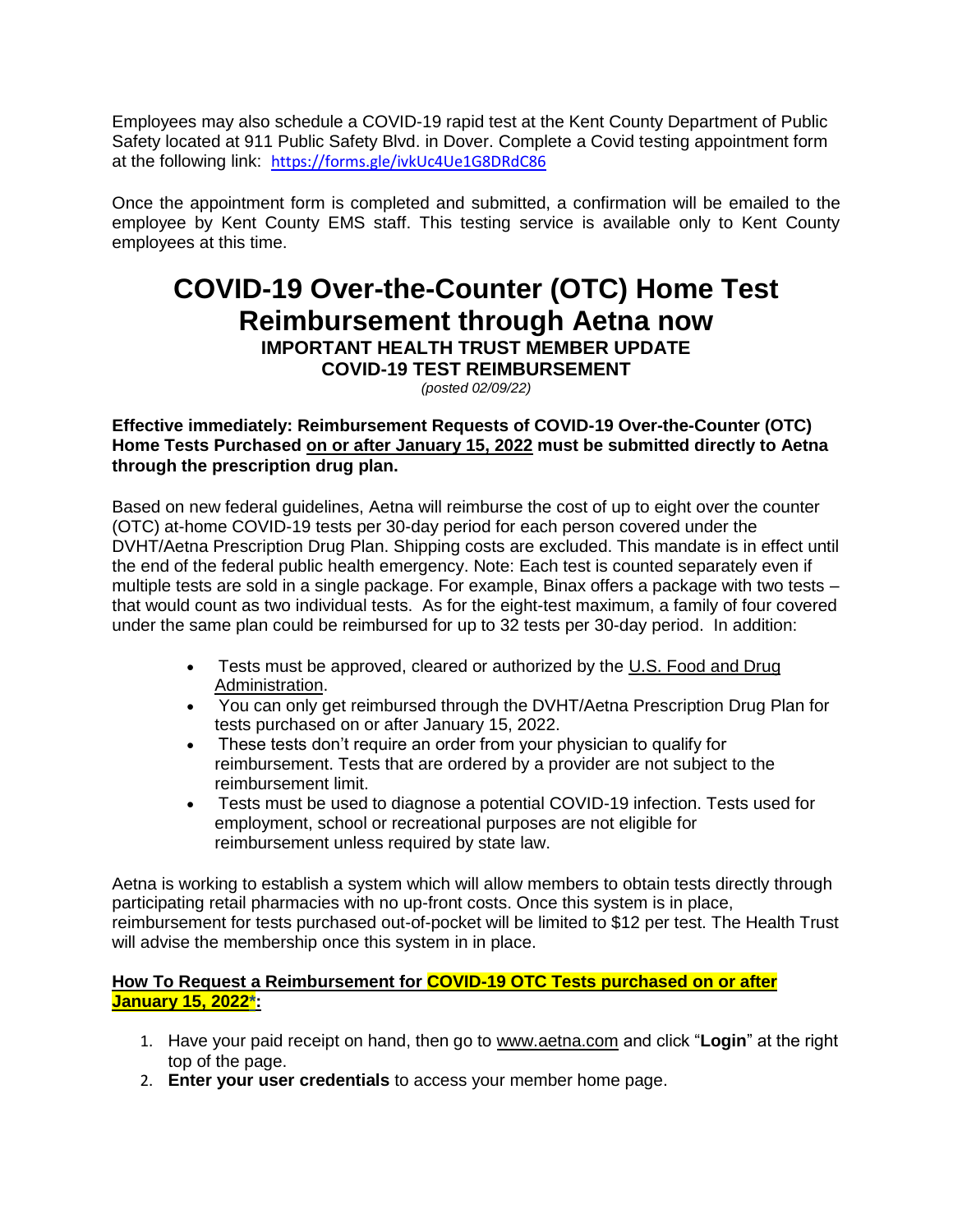Employees may also schedule a COVID-19 rapid test at the Kent County Department of Public Safety located at 911 Public Safety Blvd. in Dover. Complete a Covid testing appointment form at the following link: <https://forms.gle/ivkUc4Ue1G8DRdC86>

Once the appointment form is completed and submitted, a confirmation will be emailed to the employee by Kent County EMS staff. This testing service is available only to Kent County employees at this time.

# **COVID-19 Over-the-Counter (OTC) Home Test Reimbursement through Aetna now IMPORTANT HEALTH TRUST MEMBER UPDATE**

**COVID-19 TEST REIMBURSEMENT**

*(posted 02/09/22)*

### **Effective immediately: Reimbursement Requests of COVID-19 Over-the-Counter (OTC) Home Tests Purchased on or after January 15, 2022 must be submitted directly to Aetna through the prescription drug plan.**

Based on new federal guidelines, Aetna will reimburse the cost of up to eight over the counter (OTC) at-home COVID-19 tests per 30-day period for each person covered under the DVHT/Aetna Prescription Drug Plan. Shipping costs are excluded. This mandate is in effect until the end of the federal public health emergency. Note: Each test is counted separately even if multiple tests are sold in a single package. For example, Binax offers a package with two tests – that would count as two individual tests. As for the eight-test maximum, a family of four covered under the same plan could be reimbursed for up to 32 tests per 30-day period. In addition:

- Tests must be approved, cleared or authorized by the U.S. Food and Drug [Administration.](https://www.fda.gov/medical-devices/coronavirus-disease-2019-covid-19-emergency-use-authorizations-medical-devices/in-vitro-diagnostics-euas-antigen-diagnostic-tests-sars-cov-2)
- You can only get reimbursed through the DVHT/Aetna Prescription Drug Plan for tests purchased on or after January 15, 2022.
- These tests don't require an order from your physician to qualify for reimbursement. Tests that are ordered by a provider are not subject to the reimbursement limit.
- Tests must be used to diagnose a potential COVID-19 infection. Tests used for employment, school or recreational purposes are not eligible for reimbursement unless required by state law.

Aetna is working to establish a system which will allow members to obtain tests directly through participating retail pharmacies with no up-front costs. Once this system is in place, reimbursement for tests purchased out-of-pocket will be limited to \$12 per test. The Health Trust will advise the membership once this system in in place.

### **How To Request a Reimbursement for COVID-19 OTC Tests purchased on or after January 15, 2022\*:**

- 1. Have your paid receipt on hand, then go to [www.aetna.com](https://protect-us.mimecast.com/s/7YEZCW6X8NfzmrMMYuxKEjI?domain=aetna.com) and click "**Login**" at the right top of the page.
- 2. **Enter your user credentials** to access your member home page.